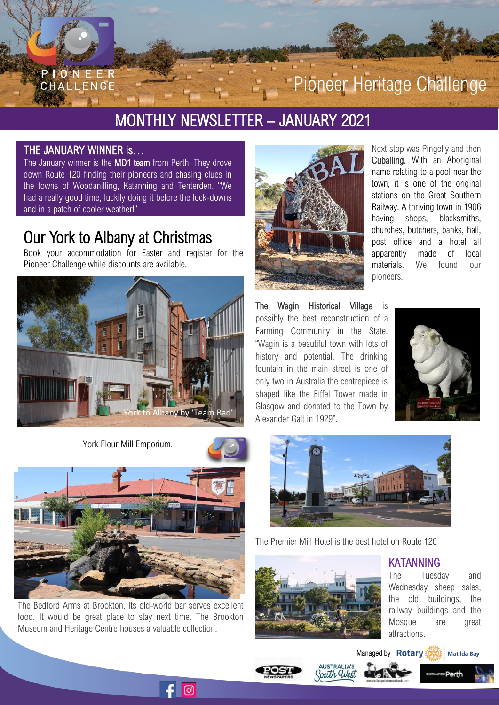

# MONTHLY NEWSLETTER – JANUARY 2021

### THE JANUARY WINNER is…

The January winner is the MD1 team from Perth. They drove down Route 120 finding their pioneers and chasing clues in the towns of Woodanilling, Katanning and Tenterden. "We had a really good time, luckily doing it before the lock-downs and in a patch of cooler weather!"

## Our York to Albany at Christmas

Book your accommodation for Easter and register for the Pioneer Challenge while discounts are available.



York Flour Mill Emporium.





The Bedford Arms at Brookton. Its old-world bar serves excellent food. It would be great place to stay next time. The Brookton Museum and Heritage Centre houses a valuable collection.

 $\odot$ 



Next stop was Pingelly and then Cuballing. With an Aboriginal name relating to a pool near the town, it is one of the original stations on the Great Southern Railway. A thriving town in 1906 having shops, blacksmiths, churches, butchers, banks, hall, post office and a hotel all apparently made of local materials. We found our pioneers.

The Wagin Historical Village is possibly the best reconstruction of a Farming Community in the State. "Wagin is a beautiful town with lots of history and potential. The drinking fountain in the main street is one of only two in Australia the centrepiece is shaped like the Eiffel Tower made in Glasgow and donated to the Town by Alexander Galt in 1929".





The Premier Mill Hotel is the best hotel on Route 120



KATANNING

The Tuesday and Wednesday sheep sales, the old buildings, the railway buildings and the Mosque are great attractions.